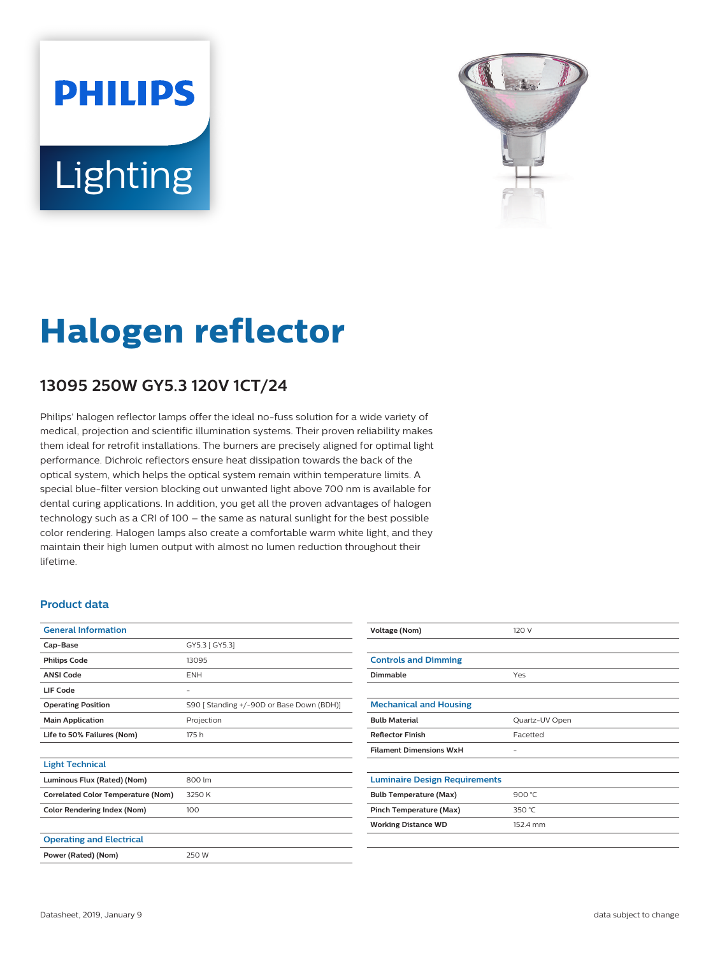# **PHILIPS** Lighting



# **Halogen reflector**

## **13095 250W GY5.3 120V 1CT/24**

Philips' halogen reflector lamps offer the ideal no-fuss solution for a wide variety of medical, projection and scientific illumination systems. Their proven reliability makes them ideal for retrofit installations. The burners are precisely aligned for optimal light performance. Dichroic reflectors ensure heat dissipation towards the back of the optical system, which helps the optical system remain within temperature limits. A special blue-filter version blocking out unwanted light above 700 nm is available for dental curing applications. In addition, you get all the proven advantages of halogen technology such as a CRI of 100 – the same as natural sunlight for the best possible color rendering. Halogen lamps also create a comfortable warm white light, and they maintain their high lumen output with almost no lumen reduction throughout their lifetime.

#### **Product data**

| <b>General Information</b>                |                                           |
|-------------------------------------------|-------------------------------------------|
| Cap-Base                                  | GY5.3 [ GY5.3]                            |
| <b>Philips Code</b>                       | 13095                                     |
| <b>ANSI Code</b>                          | <b>ENH</b>                                |
| LIF Code                                  | -                                         |
| <b>Operating Position</b>                 | S90 [ Standing +/-90D or Base Down (BDH)] |
| <b>Main Application</b>                   | Projection                                |
| Life to 50% Failures (Nom)                | 175 h                                     |
|                                           |                                           |
| <b>Light Technical</b>                    |                                           |
| Luminous Flux (Rated) (Nom)               | 800 lm                                    |
| <b>Correlated Color Temperature (Nom)</b> | 3250 K                                    |
| <b>Color Rendering Index (Nom)</b>        | 100                                       |
|                                           |                                           |
| <b>Operating and Electrical</b>           |                                           |
| Power (Rated) (Nom)                       | 250 W                                     |
|                                           |                                           |

| Voltage (Nom)                        | 120 V          |
|--------------------------------------|----------------|
|                                      |                |
| <b>Controls and Dimming</b>          |                |
| Dimmable                             | Yes            |
|                                      |                |
| <b>Mechanical and Housing</b>        |                |
| <b>Bulb Material</b>                 | Quartz-UV Open |
| <b>Reflector Finish</b>              | Facetted       |
| <b>Filament Dimensions WxH</b>       | -              |
|                                      |                |
| <b>Luminaire Design Requirements</b> |                |
| <b>Bulb Temperature (Max)</b>        | 900 $°C$       |
| Pinch Temperature (Max)              | 350 °C         |
| <b>Working Distance WD</b>           | 152.4 mm       |
|                                      |                |